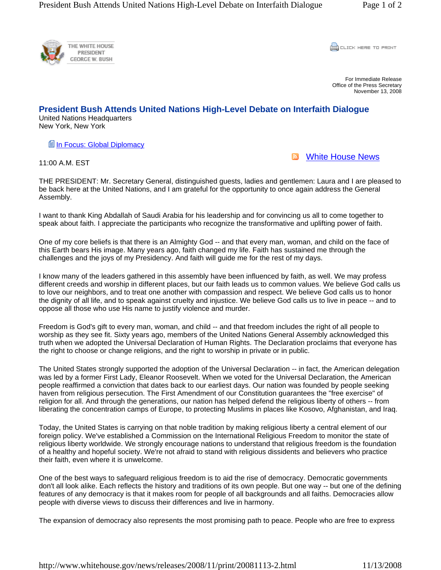

CLICK HERE TO PRINT

For Immediate Release Office of the Press Secretary November 13, 2008

## **President Bush Attends United Nations High-Level Debate on Interfaith Dialogue**

United Nations Headquarters New York, New York

**■In Focus: Global Diplomacy** 

**N** White House News

11:00 A.M. EST

THE PRESIDENT: Mr. Secretary General, distinguished guests, ladies and gentlemen: Laura and I are pleased to be back here at the United Nations, and I am grateful for the opportunity to once again address the General Assembly.

I want to thank King Abdallah of Saudi Arabia for his leadership and for convincing us all to come together to speak about faith. I appreciate the participants who recognize the transformative and uplifting power of faith.

One of my core beliefs is that there is an Almighty God -- and that every man, woman, and child on the face of this Earth bears His image. Many years ago, faith changed my life. Faith has sustained me through the challenges and the joys of my Presidency. And faith will guide me for the rest of my days.

I know many of the leaders gathered in this assembly have been influenced by faith, as well. We may profess different creeds and worship in different places, but our faith leads us to common values. We believe God calls us to love our neighbors, and to treat one another with compassion and respect. We believe God calls us to honor the dignity of all life, and to speak against cruelty and injustice. We believe God calls us to live in peace -- and to oppose all those who use His name to justify violence and murder.

Freedom is God's gift to every man, woman, and child -- and that freedom includes the right of all people to worship as they see fit. Sixty years ago, members of the United Nations General Assembly acknowledged this truth when we adopted the Universal Declaration of Human Rights. The Declaration proclaims that everyone has the right to choose or change religions, and the right to worship in private or in public.

The United States strongly supported the adoption of the Universal Declaration -- in fact, the American delegation was led by a former First Lady, Eleanor Roosevelt. When we voted for the Universal Declaration, the American people reaffirmed a conviction that dates back to our earliest days. Our nation was founded by people seeking haven from religious persecution. The First Amendment of our Constitution guarantees the "free exercise" of religion for all. And through the generations, our nation has helped defend the religious liberty of others -- from liberating the concentration camps of Europe, to protecting Muslims in places like Kosovo, Afghanistan, and Iraq.

Today, the United States is carrying on that noble tradition by making religious liberty a central element of our foreign policy. We've established a Commission on the International Religious Freedom to monitor the state of religious liberty worldwide. We strongly encourage nations to understand that religious freedom is the foundation of a healthy and hopeful society. We're not afraid to stand with religious dissidents and believers who practice their faith, even where it is unwelcome.

One of the best ways to safeguard religious freedom is to aid the rise of democracy. Democratic governments don't all look alike. Each reflects the history and traditions of its own people. But one way -- but one of the defining features of any democracy is that it makes room for people of all backgrounds and all faiths. Democracies allow people with diverse views to discuss their differences and live in harmony.

The expansion of democracy also represents the most promising path to peace. People who are free to express